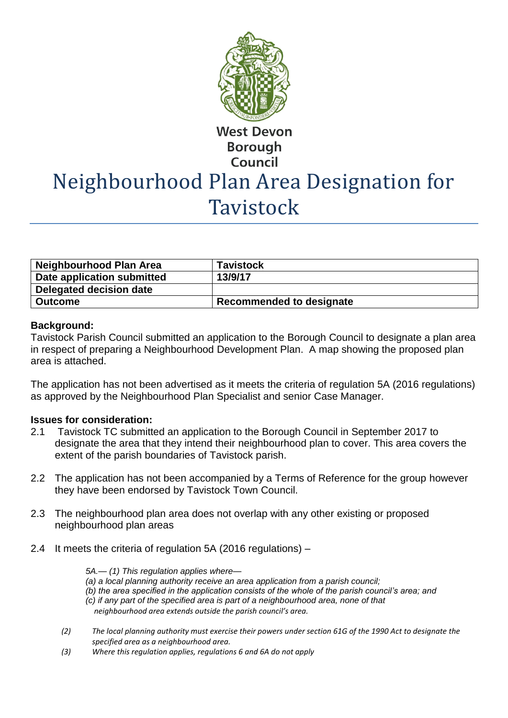

**West Devon Borough Council** 

# Neighbourhood Plan Area Designation for **Tavistock**

| <b>Neighbourhood Plan Area</b> | <b>Tavistock</b>                |
|--------------------------------|---------------------------------|
| Date application submitted     | 13/9/17                         |
| <b>Delegated decision date</b> |                                 |
| ∣ Outcome                      | <b>Recommended to designate</b> |

## **Background:**

Tavistock Parish Council submitted an application to the Borough Council to designate a plan area in respect of preparing a Neighbourhood Development Plan. A map showing the proposed plan area is attached.

The application has not been advertised as it meets the criteria of regulation 5A (2016 regulations) as approved by the Neighbourhood Plan Specialist and senior Case Manager.

# **Issues for consideration:**

- 2.1 Tavistock TC submitted an application to the Borough Council in September 2017 to designate the area that they intend their neighbourhood plan to cover. This area covers the extent of the parish boundaries of Tavistock parish.
- 2.2 The application has not been accompanied by a Terms of Reference for the group however they have been endorsed by Tavistock Town Council.
- 2.3 The neighbourhood plan area does not overlap with any other existing or proposed neighbourhood plan areas
- 2.4 It meets the criteria of regulation 5A (2016 regulations) –

*5A.— (1) This regulation applies where—*

- *(a) a local planning authority receive an area application from a parish council;*
- *(b) the area specified in the application consists of the whole of the parish council's area; and*
- *(c) if any part of the specified area is part of a neighbourhood area, none of that neighbourhood area extends outside the parish council's area.*
- *(2) The local planning authority must exercise their powers under section 61G of the 1990 Act to designate the specified area as a neighbourhood area.*
- *(3) Where this regulation applies, regulations 6 and 6A do not apply*